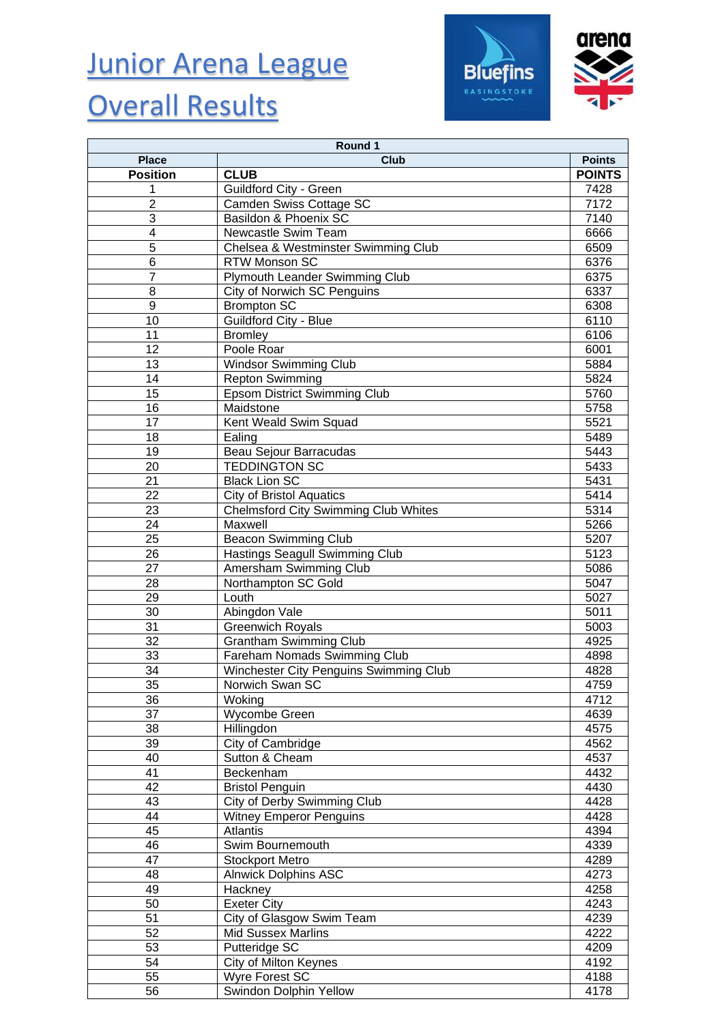# Junior Arena League

### **Overall Results**





| Round 1                 |                                             |               |  |
|-------------------------|---------------------------------------------|---------------|--|
| <b>Place</b>            | <b>Club</b>                                 | <b>Points</b> |  |
| <b>Position</b>         | <b>CLUB</b>                                 | <b>POINTS</b> |  |
| 1                       | Guildford City - Green                      | 7428          |  |
| $\overline{2}$          | Camden Swiss Cottage SC                     | 7172          |  |
| 3                       | Basildon & Phoenix SC                       | 7140          |  |
| $\overline{\mathbf{4}}$ | Newcastle Swim Team                         | 6666          |  |
| $\overline{5}$          | Chelsea & Westminster Swimming Club         | 6509          |  |
| 6                       | RTW Monson SC                               | 6376          |  |
| $\overline{7}$          | Plymouth Leander Swimming Club              | 6375          |  |
| 8                       | City of Norwich SC Penguins                 | 6337          |  |
| 9                       | <b>Brompton SC</b>                          | 6308          |  |
| 10                      | <b>Guildford City - Blue</b>                | 6110          |  |
| 11                      |                                             | 6106          |  |
| 12                      | <b>Bromley</b><br>Poole Roar                |               |  |
|                         |                                             | 6001          |  |
| 13                      | <b>Windsor Swimming Club</b>                | 5884          |  |
| 14                      | <b>Repton Swimming</b>                      | 5824          |  |
| 15                      | Epsom District Swimming Club                | 5760          |  |
| 16                      | Maidstone                                   | 5758          |  |
| 17                      | Kent Weald Swim Squad                       | 5521          |  |
| 18                      | Ealing                                      | 5489          |  |
| 19                      | Beau Sejour Barracudas                      | 5443          |  |
| 20                      | <b>TEDDINGTON SC</b>                        | 5433          |  |
| 21                      | <b>Black Lion SC</b>                        | 5431          |  |
| 22                      | <b>City of Bristol Aquatics</b>             | 5414          |  |
| 23                      | <b>Chelmsford City Swimming Club Whites</b> | 5314          |  |
| 24                      | Maxwell                                     | 5266          |  |
| 25                      | <b>Beacon Swimming Club</b>                 | 5207          |  |
| 26                      | Hastings Seagull Swimming Club              | 5123          |  |
| 27                      | Amersham Swimming Club                      | 5086          |  |
| 28                      | Northampton SC Gold                         | 5047          |  |
| 29                      | Louth                                       | 5027          |  |
| 30                      | Abingdon Vale                               | 5011          |  |
| 31                      | <b>Greenwich Royals</b>                     | 5003          |  |
| 32                      | <b>Grantham Swimming Club</b>               | 4925          |  |
| 33                      | Fareham Nomads Swimming Club                | 4898          |  |
| 34                      | Winchester City Penguins Swimming Club      | 4828          |  |
| $\overline{35}$         | Norwich Swan SC                             | 4759          |  |
| 36                      | Woking                                      | 4712          |  |
| 37                      | Wycombe Green                               | 4639          |  |
| 38                      | Hillingdon                                  | 4575          |  |
| 39                      | City of Cambridge                           | 4562          |  |
| 40                      | Sutton & Cheam                              | 4537          |  |
| 41                      | Beckenham                                   | 4432          |  |
| 42                      | <b>Bristol Penguin</b>                      | 4430          |  |
| 43                      | City of Derby Swimming Club                 | 4428          |  |
| 44                      | <b>Witney Emperor Penguins</b>              | 4428          |  |
| 45                      | Atlantis                                    | 4394          |  |
| 46                      | Swim Bournemouth                            | 4339          |  |
| 47                      | <b>Stockport Metro</b>                      | 4289          |  |
| 48                      | <b>Alnwick Dolphins ASC</b>                 | 4273          |  |
| 49                      | Hackney                                     | 4258          |  |
| 50                      | <b>Exeter City</b>                          | 4243          |  |
| 51                      | City of Glasgow Swim Team                   | 4239          |  |
| 52                      | <b>Mid Sussex Marlins</b>                   | 4222          |  |
| 53                      | Putteridge SC                               | 4209          |  |
| 54                      | City of Milton Keynes                       | 4192          |  |
| 55                      | Wyre Forest SC                              | 4188          |  |
| 56                      | Swindon Dolphin Yellow                      | 4178          |  |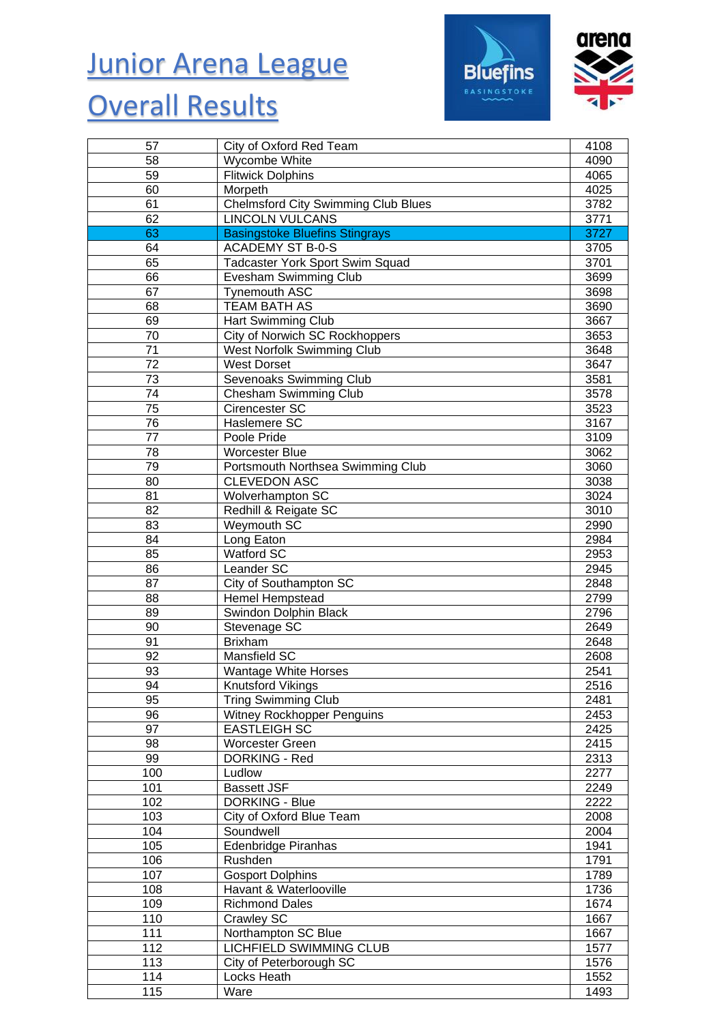#### Junior Arena League

### **Overall Results**





| 57  | City of Oxford Red Team                    | 4108 |
|-----|--------------------------------------------|------|
| 58  | Wycombe White                              | 4090 |
| 59  | <b>Flitwick Dolphins</b>                   | 4065 |
| 60  | Morpeth                                    | 4025 |
| 61  | <b>Chelmsford City Swimming Club Blues</b> | 3782 |
| 62  | <b>LINCOLN VULCANS</b>                     | 3771 |
| 63  | <b>Basingstoke Bluefins Stingrays</b>      | 3727 |
| 64  | <b>ACADEMY ST B-0-S</b>                    | 3705 |
| 65  | <b>Tadcaster York Sport Swim Squad</b>     | 3701 |
| 66  | Evesham Swimming Club                      | 3699 |
| 67  | Tynemouth ASC                              | 3698 |
| 68  | <b>TEAM BATH AS</b>                        | 3690 |
| 69  | Hart Swimming Club                         | 3667 |
| 70  | City of Norwich SC Rockhoppers             | 3653 |
| 71  | West Norfolk Swimming Club                 | 3648 |
| 72  | <b>West Dorset</b>                         | 3647 |
| 73  | Sevenoaks Swimming Club                    | 3581 |
| 74  | <b>Chesham Swimming Club</b>               | 3578 |
| 75  | Cirencester SC                             | 3523 |
| 76  | Haslemere SC                               | 3167 |
| 77  | Poole Pride                                | 3109 |
| 78  | <b>Worcester Blue</b>                      | 3062 |
| 79  | Portsmouth Northsea Swimming Club          | 3060 |
| 80  | <b>CLEVEDON ASC</b>                        | 3038 |
| 81  | Wolverhampton SC                           | 3024 |
| 82  | Redhill & Reigate SC                       | 3010 |
| 83  | Weymouth SC                                | 2990 |
| 84  | Long Eaton                                 | 2984 |
| 85  | Watford SC                                 | 2953 |
| 86  | Leander SC                                 | 2945 |
| 87  | City of Southampton SC                     | 2848 |
| 88  | Hemel Hempstead                            | 2799 |
| 89  | Swindon Dolphin Black                      | 2796 |
| 90  | Stevenage SC                               | 2649 |
| 91  | <b>Brixham</b>                             | 2648 |
| 92  | Mansfield SC                               | 2608 |
| 93  | Wantage White Horses                       | 2541 |
| 94  | Knutsford Vikings                          | 2516 |
| 95  | <b>Tring Swimming Club</b>                 | 2481 |
| 96  | <b>Witney Rockhopper Penguins</b>          | 2453 |
| 97  | <b>EASTLEIGH SC</b>                        | 2425 |
| 98  | <b>Worcester Green</b>                     | 2415 |
| 99  | <b>DORKING - Red</b>                       | 2313 |
| 100 | Ludlow                                     | 2277 |
| 101 | <b>Bassett JSF</b>                         | 2249 |
| 102 | <b>DORKING - Blue</b>                      | 2222 |
| 103 | City of Oxford Blue Team                   | 2008 |
| 104 | Soundwell                                  | 2004 |
| 105 | Edenbridge Piranhas                        | 1941 |
| 106 | Rushden                                    | 1791 |
| 107 | <b>Gosport Dolphins</b>                    | 1789 |
| 108 | Havant & Waterlooville                     | 1736 |
| 109 | <b>Richmond Dales</b>                      | 1674 |
| 110 | Crawley SC                                 | 1667 |
| 111 | Northampton SC Blue                        | 1667 |
| 112 | <b>LICHFIELD SWIMMING CLUB</b>             | 1577 |
| 113 | City of Peterborough SC                    | 1576 |
| 114 | Locks Heath                                | 1552 |
| 115 | Ware                                       | 1493 |
|     |                                            |      |